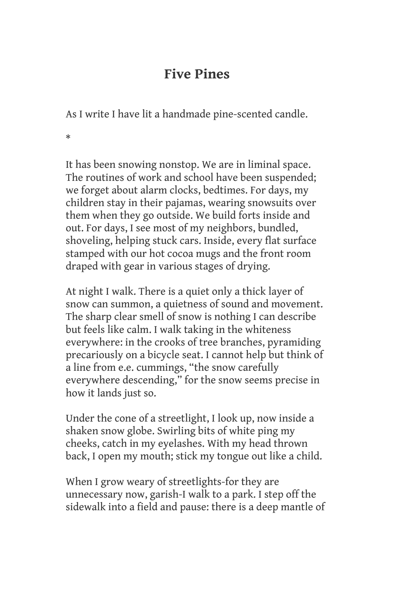## **Five Pines**

As I write I have lit a handmade pine-scented candle.

\*

It has been snowing nonstop. We are in liminal space. The routines of work and school have been suspended; we forget about alarm clocks, bedtimes. For days, my children stay in their pajamas, wearing snowsuits over them when they go outside. We build forts inside and out. For days, I see most of my neighbors, bundled, shoveling, helping stuck cars. Inside, every flat surface stamped with our hot cocoa mugs and the front room draped with gear in various stages of drying.

At night I walk. There is a quiet only a thick layer of snow can summon, a quietness of sound and movement. The sharp clear smell of snow is nothing I can describe but feels like calm. I walk taking in the whiteness everywhere: in the crooks of tree branches, pyramiding precariously on a bicycle seat. I cannot help but think of a line from e.e. cummings, "the snow carefully everywhere descending," for the snow seems precise in how it lands just so.

Under the cone of a streetlight, I look up, now inside a shaken snow globe. Swirling bits of white ping my cheeks, catch in my eyelashes. With my head thrown back, I open my mouth; stick my tongue out like a child.

When I grow weary of streetlights-for they are unnecessary now, garish-I walk to a park. I step off the sidewalk into a field and pause: there is a deep mantle of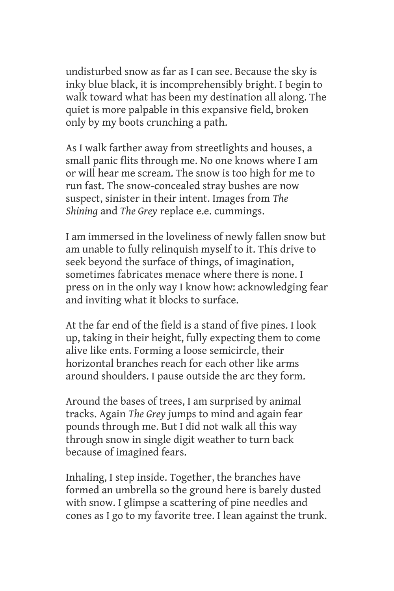undisturbed snow as far as I can see. Because the sky is inky blue black, it is incomprehensibly bright. I begin to walk toward what has been my destination all along. The quiet is more palpable in this expansive field, broken only by my boots crunching a path.

As I walk farther away from streetlights and houses, a small panic flits through me. No one knows where I am or will hear me scream. The snow is too high for me to run fast. The snow-concealed stray bushes are now suspect, sinister in their intent. Images from *The Shining* and *The Grey* replace e.e. cummings.

I am immersed in the loveliness of newly fallen snow but am unable to fully relinquish myself to it. This drive to seek beyond the surface of things, of imagination, sometimes fabricates menace where there is none. I press on in the only way I know how: acknowledging fear and inviting what it blocks to surface.

At the far end of the field is a stand of five pines. I look up, taking in their height, fully expecting them to come alive like ents. Forming a loose semicircle, their horizontal branches reach for each other like arms around shoulders. I pause outside the arc they form.

Around the bases of trees, I am surprised by animal tracks. Again *The Grey* jumps to mind and again fear pounds through me. But I did not walk all this way through snow in single digit weather to turn back because of imagined fears.

Inhaling, I step inside. Together, the branches have formed an umbrella so the ground here is barely dusted with snow. I glimpse a scattering of pine needles and cones as I go to my favorite tree. I lean against the trunk.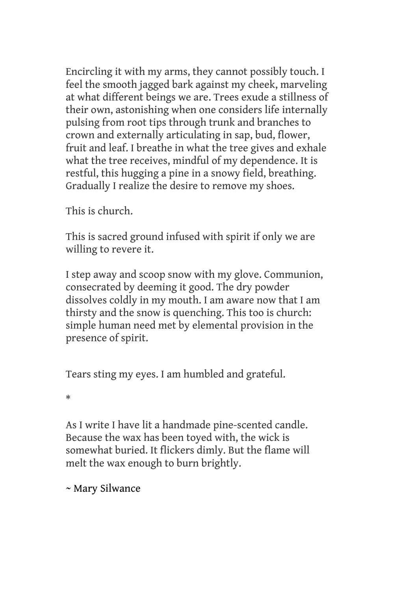Encircling it with my arms, they cannot possibly touch. I feel the smooth jagged bark against my cheek, marveling at what different beings we are. Trees exude a stillness of their own, astonishing when one considers life internally pulsing from root tips through trunk and branches to crown and externally articulating in sap, bud, flower, fruit and leaf. I breathe in what the tree gives and exhale what the tree receives, mindful of my dependence. It is restful, this hugging a pine in a snowy field, breathing. Gradually I realize the desire to remove my shoes.

This is church.

This is sacred ground infused with spirit if only we are willing to revere it.

I step away and scoop snow with my glove. Communion, consecrated by deeming it good. The dry powder dissolves coldly in my mouth. I am aware now that I am thirsty and the snow is quenching. This too is church: simple human need met by elemental provision in the presence of spirit.

Tears sting my eyes. I am humbled and grateful.

\*

As I write I have lit a handmade pine-scented candle. Because the wax has been toyed with, the wick is somewhat buried. It flickers dimly. But the flame will melt the wax enough to burn brightly.

~ Mary Silwance